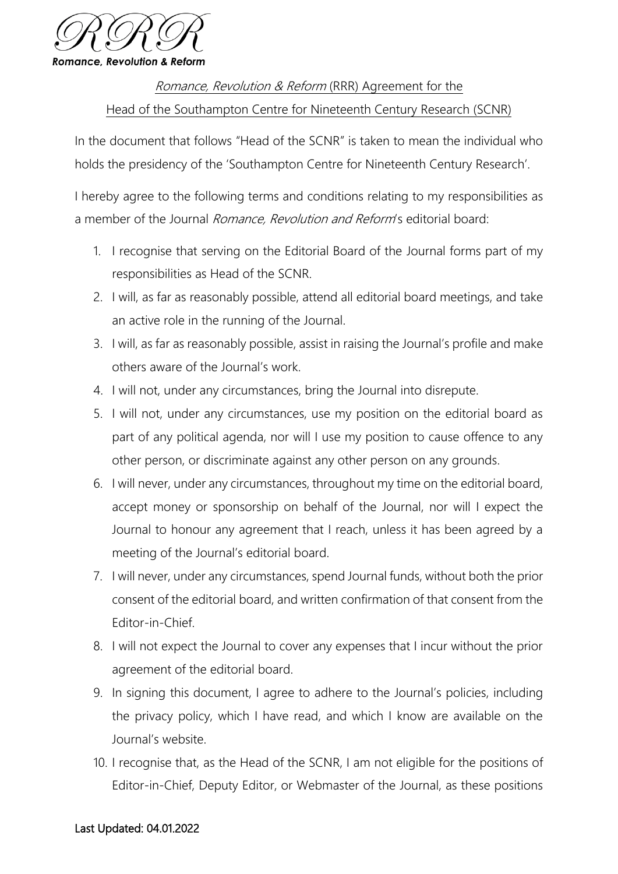

## Romance, Revolution & Reform (RRR) Agreement for the Head of the Southampton Centre for Nineteenth Century Research (SCNR)

In the document that follows "Head of the SCNR" is taken to mean the individual who holds the presidency of the 'Southampton Centre for Nineteenth Century Research'.

I hereby agree to the following terms and conditions relating to my responsibilities as a member of the Journal *Romance, Revolution and Reform's* editorial board:

- 1. I recognise that serving on the Editorial Board of the Journal forms part of my responsibilities as Head of the SCNR.
- 2. I will, as far as reasonably possible, attend all editorial board meetings, and take an active role in the running of the Journal.
- 3. I will, as far as reasonably possible, assist in raising the Journal's profile and make others aware of the Journal's work.
- 4. I will not, under any circumstances, bring the Journal into disrepute.
- 5. I will not, under any circumstances, use my position on the editorial board as part of any political agenda, nor will I use my position to cause offence to any other person, or discriminate against any other person on any grounds.
- 6. I will never, under any circumstances, throughout my time on the editorial board, accept money or sponsorship on behalf of the Journal, nor will I expect the Journal to honour any agreement that I reach, unless it has been agreed by a meeting of the Journal's editorial board.
- 7. I will never, under any circumstances, spend Journal funds, without both the prior consent of the editorial board, and written confirmation of that consent from the Editor-in-Chief.
- 8. I will not expect the Journal to cover any expenses that I incur without the prior agreement of the editorial board.
- 9. In signing this document, I agree to adhere to the Journal's policies, including the privacy policy, which I have read, and which I know are available on the Journal's website.
- 10. I recognise that, as the Head of the SCNR, I am not eligible for the positions of Editor-in-Chief, Deputy Editor, or Webmaster of the Journal, as these positions